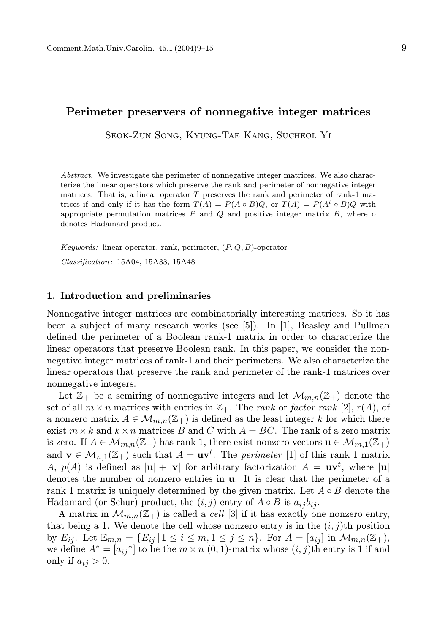## Perimeter preservers of nonnegative integer matrices

Seok-Zun Song, Kyung-Tae Kang, Sucheol Yi

Abstract. We investigate the perimeter of nonnegative integer matrices. We also characterize the linear operators which preserve the rank and perimeter of nonnegative integer matrices. That is, a linear operator  $T$  preserves the rank and perimeter of rank-1 matrices if and only if it has the form  $T(A) = P(A \circ B)Q$ , or  $T(A) = P(A^t \circ B)Q$  with appropriate permutation matrices  $P$  and  $Q$  and positive integer matrix  $B$ , where  $\circ$ denotes Hadamard product.

Keywords: linear operator, rank, perimeter,  $(P, Q, B)$ -operator

Classification: 15A04, 15A33, 15A48

## 1. Introduction and preliminaries

Nonnegative integer matrices are combinatorially interesting matrices. So it has been a subject of many research works (see [5]). In [1], Beasley and Pullman defined the perimeter of a Boolean rank-1 matrix in order to characterize the linear operators that preserve Boolean rank. In this paper, we consider the nonnegative integer matrices of rank-1 and their perimeters. We also characterize the linear operators that preserve the rank and perimeter of the rank-1 matrices over nonnegative integers.

Let  $\mathbb{Z}_+$  be a semiring of nonnegative integers and let  $\mathcal{M}_{m,n}(\mathbb{Z}_+)$  denote the set of all  $m \times n$  matrices with entries in  $\mathbb{Z}_+$ . The *rank* or *factor rank* [2],  $r(A)$ , of a nonzero matrix  $A \in \mathcal{M}_{m,n}(\mathbb{Z}_+)$  is defined as the least integer k for which there exist  $m \times k$  and  $k \times n$  matrices B and C with  $A = BC$ . The rank of a zero matrix is zero. If  $A \in \mathcal{M}_{m,n}(\mathbb{Z}_+)$  has rank 1, there exist nonzero vectors  $\mathbf{u} \in \mathcal{M}_{m,1}(\mathbb{Z}_+)$ and  $\mathbf{v} \in \mathcal{M}_{n,1}(\mathbb{Z}_+)$  such that  $A = \mathbf{u}\mathbf{v}^t$ . The *perimeter* [1] of this rank 1 matrix A,  $p(A)$  is defined as  $|\mathbf{u}| + |\mathbf{v}|$  for arbitrary factorization  $A = \mathbf{u}\mathbf{v}^t$ , where  $|\mathbf{u}|$ denotes the number of nonzero entries in u. It is clear that the perimeter of a rank 1 matrix is uniquely determined by the given matrix. Let  $A \circ B$  denote the Hadamard (or Schur) product, the  $(i, j)$  entry of  $A \circ B$  is  $a_{ij}b_{ij}$ .

A matrix in  $\mathcal{M}_{m,n}(\mathbb{Z}_+)$  is called a *cell* [3] if it has exactly one nonzero entry, that being a 1. We denote the cell whose nonzero entry is in the  $(i, j)$ th position by  $E_{ij}$ . Let  $\mathbb{E}_{m,n} = \{E_{ij} | 1 \le i \le m, 1 \le j \le n\}$ . For  $A = [a_{ij}]$  in  $\mathcal{M}_{m,n}(\mathbb{Z}_+),$ we define  $A^* = [a_{ij}]^*$  to be the  $m \times n$  (0, 1)-matrix whose  $(i, j)$ th entry is 1 if and only if  $a_{ij} > 0$ .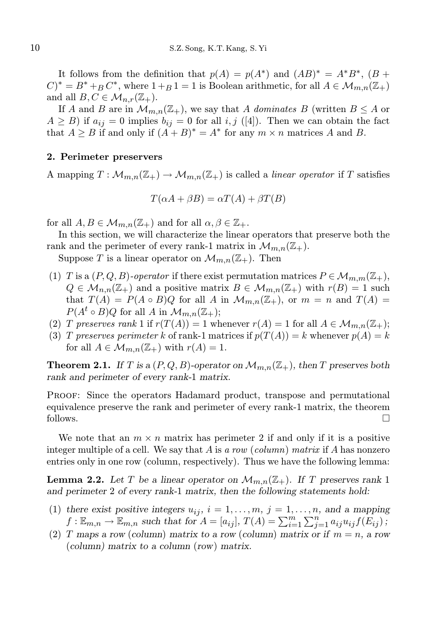It follows from the definition that  $p(A) = p(A^*)$  and  $(AB)^* = A^*B^*$ ,  $(B +$  $C^* = B^* + B^*$ , where  $1 + B^* = 1$  is Boolean arithmetic, for all  $A \in \mathcal{M}_{m,n}(\mathbb{Z}_+)$ and all  $B, C \in \mathcal{M}_{n,r}(\mathbb{Z}_+).$ 

If A and B are in  $\mathcal{M}_{m,n}(\mathbb{Z}_+)$ , we say that A dominates B (written  $B \leq A$  or  $A \geq B$ ) if  $a_{ij} = 0$  implies  $b_{ij} = 0$  for all i, j ([4]). Then we can obtain the fact that  $A \geq B$  if and only if  $(A + B)^* = A^*$  for any  $m \times n$  matrices A and B.

## 2. Perimeter preservers

A mapping  $T: \mathcal{M}_{m,n}(\mathbb{Z}_+) \to \mathcal{M}_{m,n}(\mathbb{Z}_+)$  is called a linear operator if T satisfies

$$
T(\alpha A + \beta B) = \alpha T(A) + \beta T(B)
$$

for all  $A, B \in \mathcal{M}_{m,n}(\mathbb{Z}_+)$  and for all  $\alpha, \beta \in \mathbb{Z}_+$ .

In this section, we will characterize the linear operators that preserve both the rank and the perimeter of every rank-1 matrix in  $\mathcal{M}_{m,n}(\mathbb{Z}_+).$ 

Suppose T is a linear operator on  $\mathcal{M}_{m,n}(\mathbb{Z}_+)$ . Then

- (1) T is a  $(P,Q,B)$ -operator if there exist permutation matrices  $P \in \mathcal{M}_{m,m}(\mathbb{Z}_+),$  $Q \in \mathcal{M}_{n,n}(\mathbb{Z}_+)$  and a positive matrix  $B \in \mathcal{M}_{m,n}(\mathbb{Z}_+)$  with  $r(B) = 1$  such that  $T(A) = P(A \circ B)Q$  for all A in  $\mathcal{M}_{m,n}(\mathbb{Z}_+)$ , or  $m = n$  and  $T(A) =$  $P(A^t \circ B)Q$  for all A in  $\mathcal{M}_{m,n}(\mathbb{Z}_+);$
- (2) T preserves rank 1 if  $r(T(A)) = 1$  whenever  $r(A) = 1$  for all  $A \in \mathcal{M}_{m,n}(\mathbb{Z}_+);$
- (3) T preserves perimeter k of rank-1 matrices if  $p(T(A)) = k$  whenever  $p(A) = k$ for all  $A \in \mathcal{M}_{m,n}(\mathbb{Z}_+)$  with  $r(A) = 1$ .

**Theorem 2.1.** If T is a  $(P,Q,B)$ -operator on  $\mathcal{M}_{m,n}(\mathbb{Z}_+)$ , then T preserves both rank and perimeter of every rank-1 matrix.

Proof: Since the operators Hadamard product, transpose and permutational equivalence preserve the rank and perimeter of every rank-1 matrix, the theorem follows.  $\Box$ 

We note that an  $m \times n$  matrix has perimeter 2 if and only if it is a positive integer multiple of a cell. We say that A is a row (column) matrix if A has nonzero entries only in one row (column, respectively). Thus we have the following lemma:

**Lemma 2.2.** Let T be a linear operator on  $\mathcal{M}_{m,n}(\mathbb{Z}_+)$ . If T preserves rank 1 and perimeter 2 of every rank-1 matrix, then the following statements hold:

- (1) there exist positive integers  $u_{ij}$ ,  $i = 1, \ldots, m$ ,  $j = 1, \ldots, n$ , and a mapping  $f: \mathbb{E}_{m,n} \to \mathbb{E}_{m,n}$  such that for  $A = [a_{ij}], T(A) = \sum_{i=1}^{m} \sum_{j=1}^{n} a_{ij} u_{ij} f(\overline{E}_{ij})$ ;
- (2) T maps a row (column) matrix to a row (column) matrix or if  $m = n$ , a row (column) matrix to a column (row) matrix.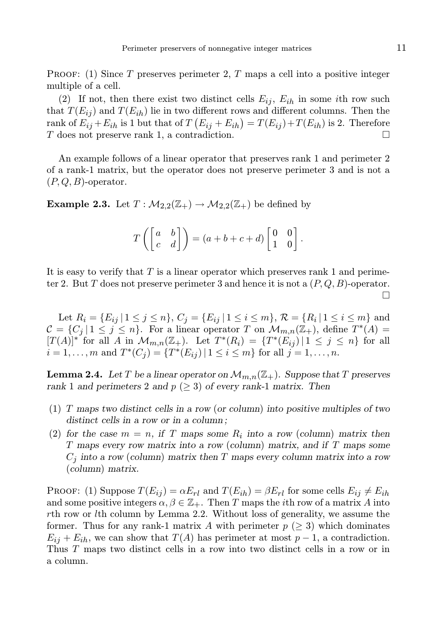**PROOF:** (1) Since T preserves perimeter 2, T maps a cell into a positive integer multiple of a cell.

(2) If not, then there exist two distinct cells  $E_{ij}$ ,  $E_{ih}$  in some *i*th row such that  $T(E_{ii})$  and  $T(E_{ih})$  lie in two different rows and different columns. Then the rank of  $E_{ij} + E_{ih}$  is 1 but that of  $T (E_{ij} + E_{ih}) = T(E_{ij}) + T(E_{ih})$  is 2. Therefore T does not preserve rank 1, a contradiction.

An example follows of a linear operator that preserves rank 1 and perimeter 2 of a rank-1 matrix, but the operator does not preserve perimeter 3 and is not a  $(P,Q,B)$ -operator.

**Example 2.3.** Let  $T : \mathcal{M}_{2,2}(\mathbb{Z}_+) \to \mathcal{M}_{2,2}(\mathbb{Z}_+)$  be defined by

$$
T\left(\begin{bmatrix} a & b \\ c & d \end{bmatrix}\right) = (a+b+c+d)\begin{bmatrix} 0 & 0 \\ 1 & 0 \end{bmatrix}.
$$

It is easy to verify that  $T$  is a linear operator which preserves rank 1 and perimeter 2. But T does not preserve perimeter 3 and hence it is not a  $(P, Q, B)$ -operator.  $\Box$ 

Let  $R_i = \{E_{ij} | 1 \leq j \leq n\}, C_j = \{E_{ij} | 1 \leq i \leq m\}, \mathcal{R} = \{R_i | 1 \leq i \leq m\}$  and  $\mathcal{C} = \{C_j \mid 1 \leq j \leq n\}$ . For a linear operator T on  $\mathcal{M}_{m,n}(\mathbb{Z}_+)$ , define  $T^*(A) =$  $[T(A)]^*$  for all A in  $\mathcal{M}_{m,n}(\mathbb{Z}_+)$ . Let  $T^*(R_i) = \{T^*(E_{ij}) \mid 1 \leq j \leq n\}$  for all  $i = 1, \ldots, m$  and  $T^{*}(C_j) = \{T^{*}(E_{ij}) \mid 1 \leq i \leq m\}$  for all  $j = 1, \ldots, n$ .

**Lemma 2.4.** Let T be a linear operator on  $\mathcal{M}_{m,n}(\mathbb{Z}_+)$ . Suppose that T preserves rank 1 and perimeters 2 and  $p \ (\geq 3)$  of every rank-1 matrix. Then

- (1) T maps two distinct cells in a row (or column) into positive multiples of two distinct cells in a row or in a column;
- (2) for the case  $m = n$ , if T maps some  $R_i$  into a row (column) matrix then T maps every row matrix into a row (column) matrix, and if T maps some  $C_j$  into a row (column) matrix then T maps every column matrix into a row (column) matrix.

PROOF: (1) Suppose  $T(E_{ij}) = \alpha E_{rl}$  and  $T(E_{ih}) = \beta E_{rl}$  for some cells  $E_{ij} \neq E_{ih}$ and some positive integers  $\alpha, \beta \in \mathbb{Z}_+$ . Then T maps the *i*th row of a matrix A into rth row or lth column by Lemma 2.2. Without loss of generality, we assume the former. Thus for any rank-1 matrix A with perimeter  $p \geq 3$ ) which dominates  $E_{ij} + E_{ih}$ , we can show that  $T(A)$  has perimeter at most  $p-1$ , a contradiction. Thus T maps two distinct cells in a row into two distinct cells in a row or in a column.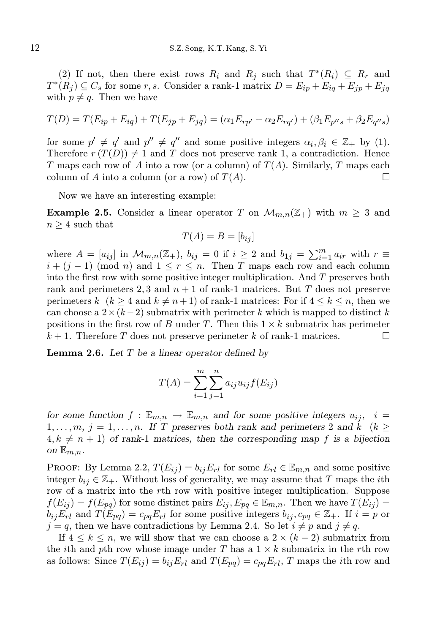(2) If not, then there exist rows  $R_i$  and  $R_j$  such that  $T^*(R_i) \subseteq R_r$  and  $T^*(R_j) \subseteq C_s$  for some r, s. Consider a rank-1 matrix  $D = E_{ip} + E_{iq} + E_{jp} + E_{jq}$ with  $p \neq q$ . Then we have

$$
T(D) = T(E_{ip} + E_{iq}) + T(E_{jp} + E_{jq}) = (\alpha_1 E_{rp'} + \alpha_2 E_{rq'}) + (\beta_1 E_{p''s} + \beta_2 E_{q''s})
$$

for some  $p' \neq q'$  and  $p'' \neq q''$  and some positive integers  $\alpha_i, \beta_i \in \mathbb{Z}_+$  by (1). Therefore  $r(T(D)) \neq 1$  and T does not preserve rank 1, a contradiction. Hence T maps each row of A into a row (or a column) of  $T(A)$ . Similarly, T maps each column of A into a column (or a row) of  $T(A)$ .

Now we have an interesting example:

**Example 2.5.** Consider a linear operator T on  $\mathcal{M}_{m,n}(\mathbb{Z}_+)$  with  $m \geq 3$  and  $n \geq 4$  such that

$$
T(A) = B = [b_{ij}]
$$

where  $A = [a_{ij}]$  in  $\mathcal{M}_{m,n}(\mathbb{Z}_+)$ ,  $b_{ij} = 0$  if  $i \geq 2$  and  $b_{1j} = \sum_{i=1}^{m} a_{ir}$  with  $r \equiv$  $i + (j - 1)$  (mod n) and  $1 \le r \le n$ . Then T maps each row and each column into the first row with some positive integer multiplication. And T preserves both rank and perimeters 2, 3 and  $n + 1$  of rank-1 matrices. But T does not preserve perimeters k  $(k \geq 4$  and  $k \neq n+1$ ) of rank-1 matrices: For if  $4 \leq k \leq n$ , then we can choose a  $2 \times (k-2)$  submatrix with perimeter k which is mapped to distinct k positions in the first row of B under T. Then this  $1 \times k$  submatrix has perimeter  $k + 1$ . Therefore T does not preserve perimeter k of rank-1 matrices.

**Lemma 2.6.** Let  $T$  be a linear operator defined by

$$
T(A) = \sum_{i=1}^{m} \sum_{j=1}^{n} a_{ij} u_{ij} f(E_{ij})
$$

for some function  $f : \mathbb{E}_{m,n} \to \mathbb{E}_{m,n}$  and for some positive integers  $u_{ij}$ ,  $i =$  $1, \ldots, m, j = 1, \ldots, n$ . If T preserves both rank and perimeters 2 and k (k  $\geq$  $4, k \neq n + 1$ ) of rank-1 matrices, then the corresponding map f is a bijection on  $\mathbb{E}_{m,n}$ .

**PROOF:** By Lemma 2.2,  $T(E_{ij}) = b_{ij}E_{rl}$  for some  $E_{rl} \in \mathbb{E}_{m,n}$  and some positive integer  $b_{ij} \in \mathbb{Z}_+$ . Without loss of generality, we may assume that T maps the *i*th row of a matrix into the rth row with positive integer multiplication. Suppose  $f(E_{ij}) = f(E_{pq})$  for some distinct pairs  $E_{ij}, E_{pq} \in \mathbb{E}_{m,n}$ . Then we have  $T(E_{ij}) =$  $b_{ij}E_{rl}$  and  $T(E_{pq})=c_{pq}E_{rl}$  for some positive integers  $b_{ij}, c_{pq} \in \mathbb{Z}_+$ . If  $i=p$  or  $j = q$ , then we have contradictions by Lemma 2.4. So let  $i \neq p$  and  $j \neq q$ .

If  $4 \leq k \leq n$ , we will show that we can choose a  $2 \times (k-2)$  submatrix from the *i*th and pth row whose image under T has a  $1 \times k$  submatrix in the rth row as follows: Since  $T(E_{ij}) = b_{ij}E_{rl}$  and  $T(E_{pq}) = c_{pq}E_{rl}$ , T maps the *i*th row and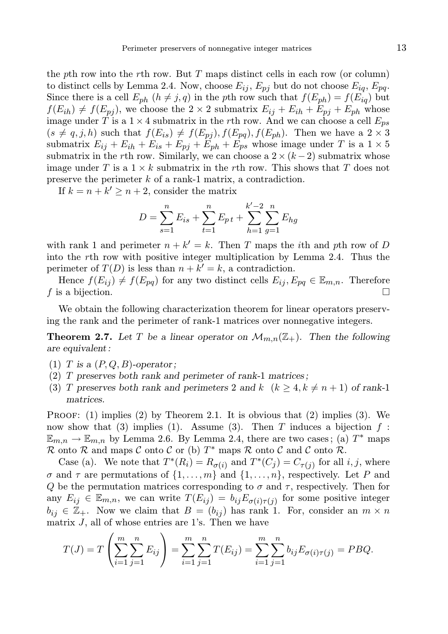the pth row into the rth row. But  $T$  maps distinct cells in each row (or column) to distinct cells by Lemma 2.4. Now, choose  $E_{ij}$ ,  $E_{pj}$  but do not choose  $E_{iq}$ ,  $E_{pq}$ . Since there is a cell  $E_{ph}$   $(h \neq j, q)$  in the pth row such that  $f(E_{ph}) = f(E_{iq})$  but  $f(E_{ih}) \neq f(E_{pj})$ , we choose the  $2 \times 2$  submatrix  $E_{ij} + E_{ih} + E_{pj} + E_{ph}$  whose image under T is a  $1 \times 4$  submatrix in the rth row. And we can choose a cell  $E_{ps}$  $(s \neq q, j, h)$  such that  $f(E_{is}) \neq f(E_{pj}), f(E_{pq}), f(E_{ph})$ . Then we have a  $2 \times 3$ submatrix  $E_{ij} + E_{ih} + E_{is} + E_{pj} + E_{ph} + E_{ps}$  whose image under T is a  $1 \times 5$ submatrix in the rth row. Similarly, we can choose a  $2 \times (k-2)$  submatrix whose image under T is a  $1 \times k$  submatrix in the rth row. This shows that T does not preserve the perimeter k of a rank-1 matrix, a contradiction.

If  $k = n + k' \geq n + 2$ , consider the matrix

$$
D = \sum_{s=1}^{n} E_{is} + \sum_{t=1}^{n} E_{pt} + \sum_{h=1}^{k'-2} \sum_{g=1}^{n} E_{hg}
$$

with rank 1 and perimeter  $n + k' = k$ . Then T maps the *i*th and *p*th row of D into the rth row with positive integer multiplication by Lemma 2.4. Thus the perimeter of  $T(D)$  is less than  $n + k' = k$ , a contradiction.

Hence  $f(E_{ij}) \neq f(E_{pq})$  for any two distinct cells  $E_{ij}$ ,  $E_{pq} \in \mathbb{E}_{m,n}$ . Therefore f is a bijection.  $\Box$ 

We obtain the following characterization theorem for linear operators preserving the rank and the perimeter of rank-1 matrices over nonnegative integers.

**Theorem 2.7.** Let T be a linear operator on  $\mathcal{M}_{m,n}(\mathbb{Z}_{+})$ . Then the following are equivalent :

- (1) T is a  $(P,Q,B)$ -operator;
- (2) T preserves both rank and perimeter of rank-1 matrices ;
- (3) T preserves both rank and perimeters 2 and k  $(k \ge 4, k \ne n + 1)$  of rank-1 matrices.

**PROOF:** (1) implies (2) by Theorem 2.1. It is obvious that (2) implies (3). We now show that (3) implies (1). Assume (3). Then T induces a bijection  $f$ :  $\mathbb{E}_{m,n} \to \mathbb{E}_{m,n}$  by Lemma 2.6. By Lemma 2.4, there are two cases; (a)  $T^*$  maps  $\mathcal{R}$  onto  $\mathcal{R}$  and maps  $\mathcal{C}$  onto  $\mathcal{C}$  or (b)  $T^*$  maps  $\mathcal{R}$  onto  $\mathcal{C}$  and  $\mathcal{C}$  onto  $\mathcal{R}$ .

Case (a). We note that  $T^*(R_i) = R_{\sigma(i)}$  and  $T^*(C_j) = C_{\tau(j)}$  for all i, j, where  $\sigma$  and  $\tau$  are permutations of  $\{1, \ldots, m\}$  and  $\{1, \ldots, n\}$ , respectively. Let P and Q be the permutation matrices corresponding to  $\sigma$  and  $\tau$ , respectively. Then for any  $E_{ij} \in \mathbb{E}_{m,n}$ , we can write  $T(E_{ij}) = b_{ij}E_{\sigma(i)\tau(j)}$  for some positive integer  $b_{ij} \in \mathbb{Z}_+$ . Now we claim that  $B = (b_{ij})$  has rank 1. For, consider an  $m \times n$ matrix  $J$ , all of whose entries are 1's. Then we have

$$
T(J) = T\left(\sum_{i=1}^{m} \sum_{j=1}^{n} E_{ij}\right) = \sum_{i=1}^{m} \sum_{j=1}^{n} T(E_{ij}) = \sum_{i=1}^{m} \sum_{j=1}^{n} b_{ij} E_{\sigma(i)\tau(j)} = P B Q.
$$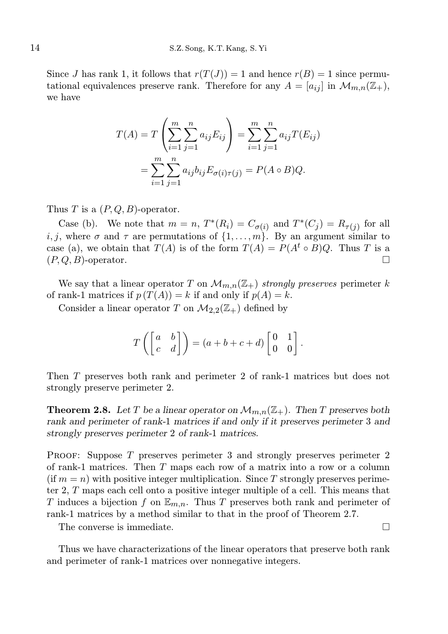Since J has rank 1, it follows that  $r(T(J)) = 1$  and hence  $r(B) = 1$  since permutational equivalences preserve rank. Therefore for any  $A = [a_{ij}]$  in  $\mathcal{M}_{m,n}(\mathbb{Z}_+),$ we have

$$
T(A) = T\left(\sum_{i=1}^{m} \sum_{j=1}^{n} a_{ij} E_{ij}\right) = \sum_{i=1}^{m} \sum_{j=1}^{n} a_{ij} T(E_{ij})
$$
  
= 
$$
\sum_{i=1}^{m} \sum_{j=1}^{n} a_{ij} b_{ij} E_{\sigma(i)\tau(j)} = P(A \circ B) Q.
$$

Thus T is a  $(P, Q, B)$ -operator.

Case (b). We note that  $m = n$ ,  $T^*(R_i) = C_{\sigma(i)}$  and  $T^*(C_j) = R_{\tau(j)}$  for all i, j, where  $\sigma$  and  $\tau$  are permutations of  $\{1, \ldots, m\}$ . By an argument similar to case (a), we obtain that  $T(A)$  is of the form  $T(A) = P(A^t \circ B)Q$ . Thus T is a  $(P,Q,B)$ -operator.

We say that a linear operator T on  $\mathcal{M}_{m,n}(\mathbb{Z}_+)$  strongly preserves perimeter k of rank-1 matrices if  $p(T(A)) = k$  if and only if  $p(A) = k$ .

Consider a linear operator T on  $\mathcal{M}_{2,2}(\mathbb{Z}_+)$  defined by

$$
T\left(\begin{bmatrix} a & b \\ c & d \end{bmatrix}\right) = (a+b+c+d)\begin{bmatrix} 0 & 1 \\ 0 & 0 \end{bmatrix}.
$$

Then T preserves both rank and perimeter 2 of rank-1 matrices but does not strongly preserve perimeter 2.

**Theorem 2.8.** Let T be a linear operator on  $\mathcal{M}_{m,n}(\mathbb{Z}_+)$ . Then T preserves both rank and perimeter of rank-1 matrices if and only if it preserves perimeter 3 and strongly preserves perimeter 2 of rank-1 matrices.

Proof: Suppose T preserves perimeter 3 and strongly preserves perimeter 2 of rank-1 matrices. Then T maps each row of a matrix into a row or a column  $(\text{if } m = n)$  with positive integer multiplication. Since T strongly preserves perimeter 2, T maps each cell onto a positive integer multiple of a cell. This means that T induces a bijection f on  $\mathbb{E}_{m,n}$ . Thus T preserves both rank and perimeter of rank-1 matrices by a method similar to that in the proof of Theorem 2.7.

The converse is immediate.

Thus we have characterizations of the linear operators that preserve both rank and perimeter of rank-1 matrices over nonnegative integers.